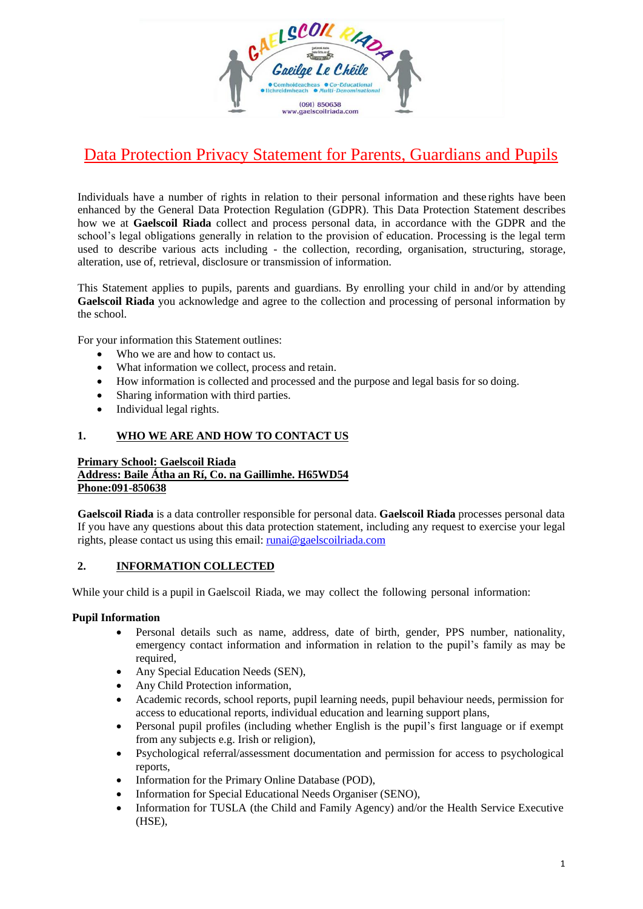

# Data Protection Privacy Statement for Parents, Guardians and Pupils

Individuals have a number of rights in relation to their personal information and these rights have been enhanced by the General Data Protection Regulation (GDPR). This Data Protection Statement describes how we at **Gaelscoil Riada** collect and process personal data, in accordance with the GDPR and the school's legal obligations generally in relation to the provision of education. Processing is the legal term used to describe various acts including - the collection, recording, organisation, structuring, storage, alteration, use of, retrieval, disclosure or transmission of information.

This Statement applies to pupils, parents and guardians. By enrolling your child in and/or by attending **Gaelscoil Riada** you acknowledge and agree to the collection and processing of personal information by the school.

For your information this Statement outlines:

- Who we are and how to contact us.
- What information we collect, process and retain.
- How information is collected and processed and the purpose and legal basis for so doing.
- Sharing information with third parties.
- Individual legal rights.

#### **1. WHO WE ARE AND HOW TO CONTACT US**

#### **Primary School: Gaelscoil Riada Address: Baile Átha an Rí, Co. na Gaillimhe. H65WD54 Phone:091-850638**

**Gaelscoil Riada** is a data controller responsible for personal data. **Gaelscoil Riada** processes personal data If you have any questions about this data protection statement, including any request to exercise your legal rights, please contact us using this email: [runai@gaelscoilriada.com](mailto:runai@gaelscoilriada.com)

#### **2. INFORMATION COLLECTED**

While your child is a pupil in Gaelscoil Riada, we may collect the following personal information:

#### **Pupil Information**

- Personal details such as name, address, date of birth, gender, PPS number, nationality, emergency contact information and information in relation to the pupil's family as may be required,
- Any Special Education Needs (SEN),
- Any Child Protection information,
- Academic records, school reports, pupil learning needs, pupil behaviour needs, permission for access to educational reports, individual education and learning support plans,
- Personal pupil profiles (including whether English is the pupil's first language or if exempt from any subjects e.g. Irish or religion),
- Psychological referral/assessment documentation and permission for access to psychological reports,
- Information for the Primary Online Database (POD),
- Information for Special Educational Needs Organiser (SENO),
- Information for TUSLA (the Child and Family Agency) and/or the Health Service Executive (HSE),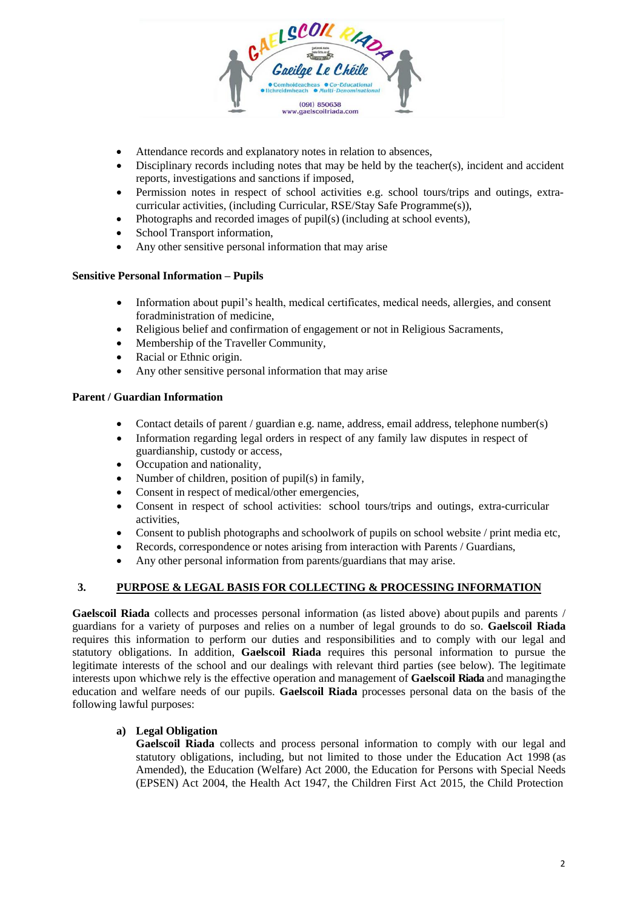

- Attendance records and explanatory notes in relation to absences,
- Disciplinary records including notes that may be held by the teacher(s), incident and accident reports, investigations and sanctions if imposed,
- Permission notes in respect of school activities e.g. school tours/trips and outings, extracurricular activities, (including Curricular, RSE/Stay Safe Programme(s)),
- Photographs and recorded images of pupil(s) (including at school events),
- School Transport information,
- Any other sensitive personal information that may arise

#### **Sensitive Personal Information – Pupils**

- Information about pupil's health, medical certificates, medical needs, allergies, and consent foradministration of medicine,
- Religious belief and confirmation of engagement or not in Religious Sacraments,
- Membership of the Traveller Community,
- Racial or Ethnic origin.
- Any other sensitive personal information that may arise

#### **Parent / Guardian Information**

- Contact details of parent / guardian e.g. name, address, email address, telephone number(s)
- Information regarding legal orders in respect of any family law disputes in respect of guardianship, custody or access,
- Occupation and nationality,
- Number of children, position of pupil(s) in family,
- Consent in respect of medical/other emergencies,
- Consent in respect of school activities: school tours/trips and outings, extra-curricular activities,
- Consent to publish photographs and schoolwork of pupils on school website / print media etc,
- Records, correspondence or notes arising from interaction with Parents / Guardians,
- Any other personal information from parents/guardians that may arise.

#### **3. PURPOSE & LEGAL BASIS FOR COLLECTING & PROCESSING INFORMATION**

**Gaelscoil Riada** collects and processes personal information (as listed above) about pupils and parents / guardians for a variety of purposes and relies on a number of legal grounds to do so. **Gaelscoil Riada**  requires this information to perform our duties and responsibilities and to comply with our legal and statutory obligations. In addition, **Gaelscoil Riada** requires this personal information to pursue the legitimate interests of the school and our dealings with relevant third parties (see below). The legitimate interests upon whichwe rely is the effective operation and management of **Gaelscoil Riada** and managingthe education and welfare needs of our pupils. **Gaelscoil Riada** processes personal data on the basis of the following lawful purposes:

#### **a) Legal Obligation**

**Gaelscoil Riada** collects and process personal information to comply with our legal and statutory obligations, including, but not limited to those under the Education Act 1998 (as Amended), the Education (Welfare) Act 2000, the Education for Persons with Special Needs (EPSEN) Act 2004, the Health Act 1947, the Children First Act 2015, the Child Protection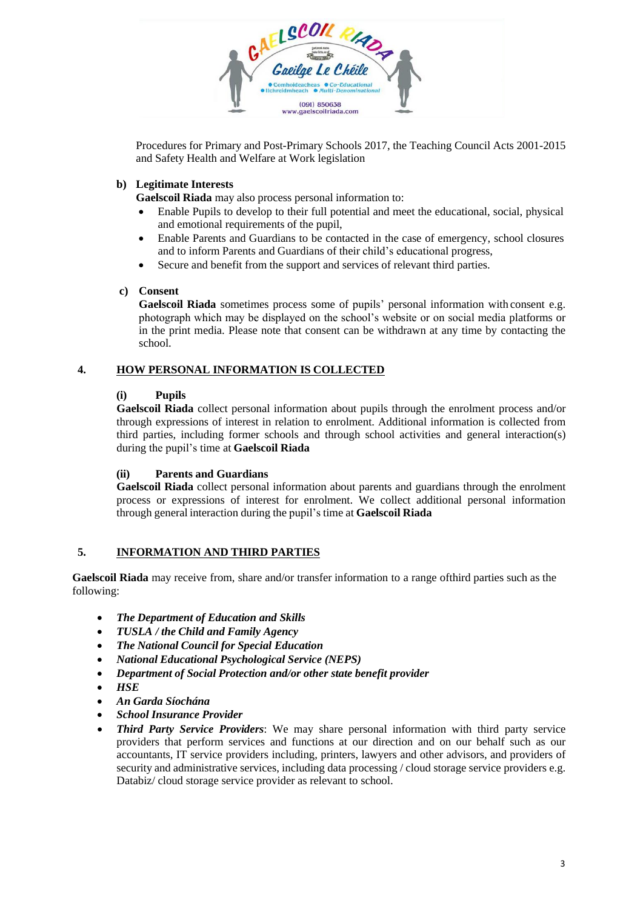

Procedures for Primary and Post-Primary Schools 2017, the Teaching Council Acts 2001-2015 and Safety Health and Welfare at Work legislation

#### **b) Legitimate Interests**

**Gaelscoil Riada** may also process personal information to:

- Enable Pupils to develop to their full potential and meet the educational, social, physical and emotional requirements of the pupil,
- Enable Parents and Guardians to be contacted in the case of emergency, school closures and to inform Parents and Guardians of their child's educational progress,
- Secure and benefit from the support and services of relevant third parties.

#### **c) Consent**

**Gaelscoil Riada** sometimes process some of pupils' personal information with consent e.g. photograph which may be displayed on the school's website or on social media platforms or in the print media. Please note that consent can be withdrawn at any time by contacting the school.

#### **4. HOW PERSONAL INFORMATION IS COLLECTED**

#### **(i) Pupils**

**Gaelscoil Riada** collect personal information about pupils through the enrolment process and/or through expressions of interest in relation to enrolment. Additional information is collected from third parties, including former schools and through school activities and general interaction(s) during the pupil's time at **Gaelscoil Riada**

#### **(ii) Parents and Guardians**

**Gaelscoil Riada** collect personal information about parents and guardians through the enrolment process or expressions of interest for enrolment. We collect additional personal information through general interaction during the pupil's time at **Gaelscoil Riada**

#### **5. INFORMATION AND THIRD PARTIES**

**Gaelscoil Riada** may receive from, share and/or transfer information to a range ofthird parties such as the following:

- *The Department of Education and Skills*
- *TUSLA / the Child and Family Agency*
- *The National Council for Special Education*
- *National Educational Psychological Service (NEPS)*
- *Department of Social Protection and/or other state benefit provider*
- *HSE*
- *An Garda Síochána*
- *School Insurance Provider*
- *Third Party Service Providers*: We may share personal information with third party service providers that perform services and functions at our direction and on our behalf such as our accountants, IT service providers including, printers, lawyers and other advisors, and providers of security and administrative services, including data processing / cloud storage service providers e.g. Databiz/ cloud storage service provider as relevant to school.